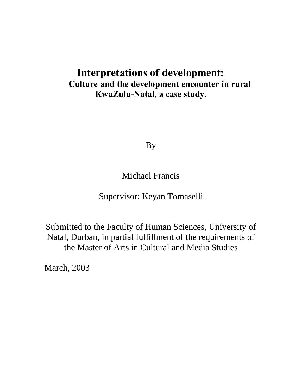## **Interpretations of development: Culture and the development encounter in rural KwaZulu-Natal, a case study.**

By

Michael Francis

Supervisor: Keyan Tomaselli

Submitted to the Faculty of Human Sciences, University of Natal, Durban, in partial fulfillment of the requirements of the Master of Arts in Cultural and Media Studies

March, 2003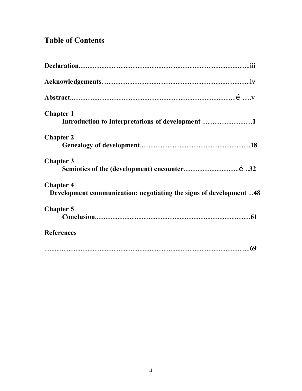# **Table of Contents**

| <b>Chapter 1</b><br>Introduction to Interpretations of development 1                   |
|----------------------------------------------------------------------------------------|
| <b>Chapter 2</b>                                                                       |
| <b>Chapter 3</b>                                                                       |
| <b>Chapter 4</b><br>Development communication: negotiating the signs of development 48 |
| <b>Chapter 5</b>                                                                       |
| <b>References</b>                                                                      |
|                                                                                        |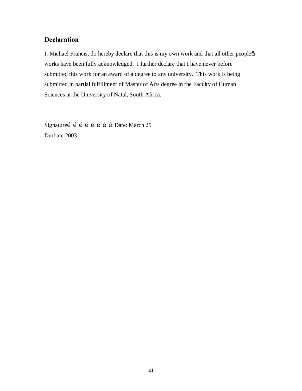### **Declaration**

I, Michael Francis, do hereby declare that this is my own work and that all other peoplects works have been fully acknowledged. I further declare that I have never before submitted this work for an award of a degree to any university. This work is being submitted in partial fulfillment of Master of Arts degree in the Faculty of Human Sciences at the University of Natal, South Africa.

Signatureí í í í í í í í Date: March 25 Durban, 2003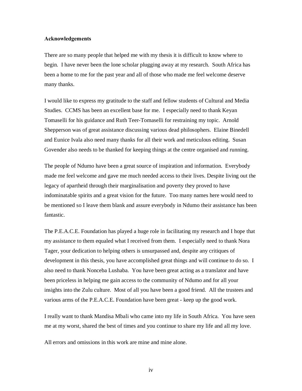#### **Acknowledgements**

There are so many people that helped me with my thesis it is difficult to know where to begin. I have never been the lone scholar plugging away at my research. South Africa has been a home to me for the past year and all of those who made me feel welcome deserve many thanks.

I would like to express my gratitude to the staff and fellow students of Cultural and Media Studies. CCMS has been an excellent base for me. I especially need to thank Keyan Tomaselli for his guidance and Ruth Teer-Tomaselli for restraining my topic. Arnold Shepperson was of great assistance discussing various dead philosophers. Elaine Binedell and Eunice Ivala also need many thanks for all their work and meticulous editing. Susan Govender also needs to be thanked for keeping things at the centre organised and running.

The people of Ndumo have been a great source of inspiration and information. Everybody made me feel welcome and gave me much needed access to their lives. Despite living out the legacy of apartheid through their marginalisation and poverty they proved to have indominatable spirits and a great vision for the future. Too many names here would need to be mentioned so I leave them blank and assure everybody in Ndumo their assistance has been fantastic.

The P.E.A.C.E. Foundation has played a huge role in facilitating my research and I hope that my assistance to them equaled what I received from them. I especially need to thank Nora Tager, your dedication to helping others is unsurpassed and, despite any critiques of development in this thesis, you have accomplished great things and will continue to do so. I also need to thank Nonceba Lushaba. You have been great acting as a translator and have been priceless in helping me gain access to the community of Ndumo and for all your insights into the Zulu culture. Most of all you have been a good friend. All the trustees and various arms of the P.E.A.C.E. Foundation have been great - keep up the good work.

I really want to thank Mandisa Mbali who came into my life in South Africa. You have seen me at my worst, shared the best of times and you continue to share my life and all my love.

All errors and omissions in this work are mine and mine alone.

iv